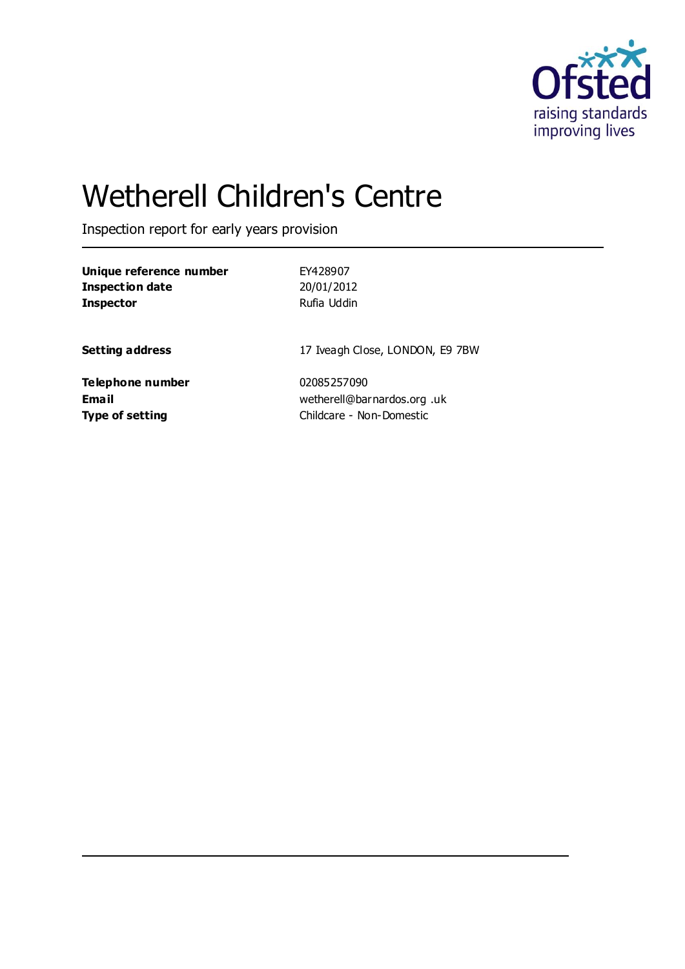

# Wetherell Children's Centre

Inspection report for early years provision

| Unique reference number | EY428907                        |
|-------------------------|---------------------------------|
| <b>Inspection date</b>  | 20/01/2012                      |
| <b>Inspector</b>        | Rufia Uddin                     |
| <b>Setting address</b>  | 17 Iveagh Close, LONDON, E9 7BW |
| <b>Telephone number</b> | 02085257090                     |
| Email                   | wetherell@barnardos.org .uk     |

**Type of setting** Childcare - Non-Domestic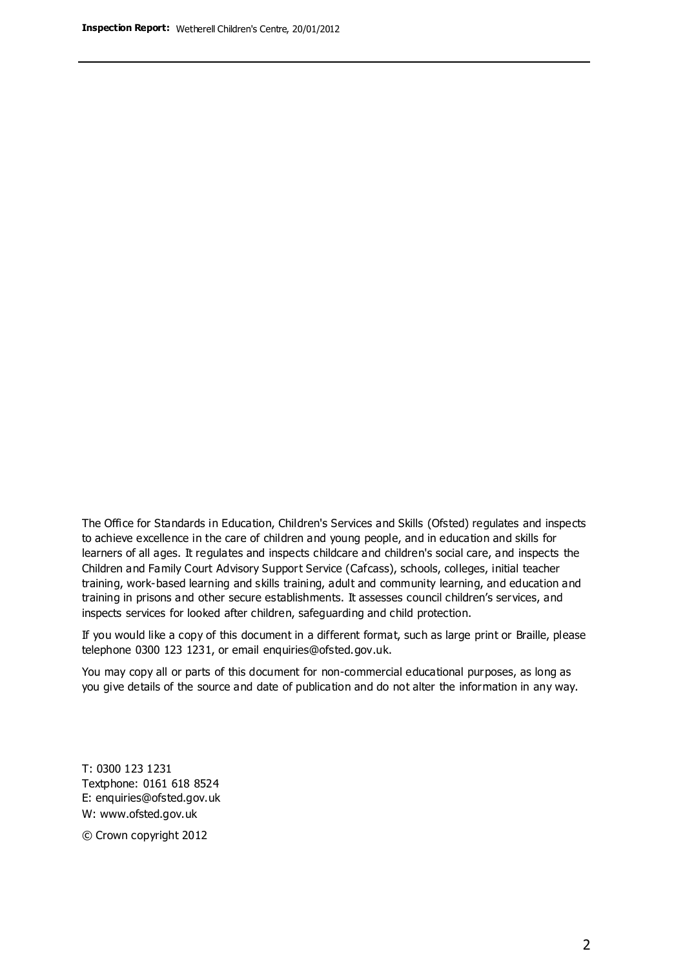The Office for Standards in Education, Children's Services and Skills (Ofsted) regulates and inspects to achieve excellence in the care of children and young people, and in education and skills for learners of all ages. It regulates and inspects childcare and children's social care, and inspects the Children and Family Court Advisory Support Service (Cafcass), schools, colleges, initial teacher training, work-based learning and skills training, adult and community learning, and education and training in prisons and other secure establishments. It assesses council children's services, and inspects services for looked after children, safeguarding and child protection.

If you would like a copy of this document in a different format, such as large print or Braille, please telephone 0300 123 1231, or email enquiries@ofsted.gov.uk.

You may copy all or parts of this document for non-commercial educational purposes, as long as you give details of the source and date of publication and do not alter the information in any way.

T: 0300 123 1231 Textphone: 0161 618 8524 E: enquiries@ofsted.gov.uk W: [www.ofsted.gov.uk](http://www.ofsted.gov.uk/)

© Crown copyright 2012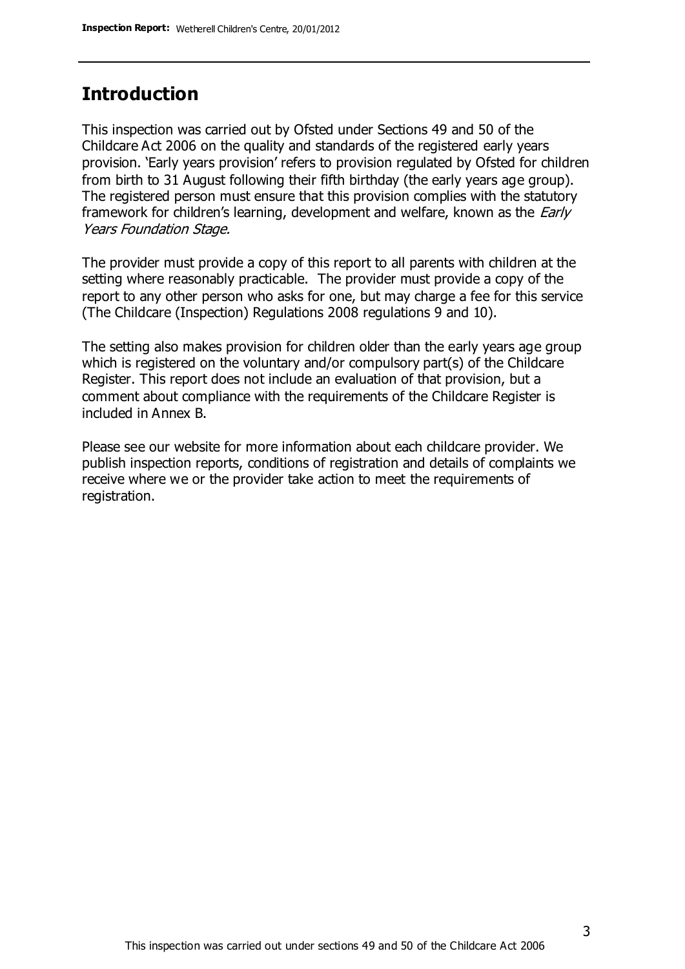### **Introduction**

This inspection was carried out by Ofsted under Sections 49 and 50 of the Childcare Act 2006 on the quality and standards of the registered early years provision. 'Early years provision' refers to provision regulated by Ofsted for children from birth to 31 August following their fifth birthday (the early years age group). The registered person must ensure that this provision complies with the statutory framework for children's learning, development and welfare, known as the *Early* Years Foundation Stage.

The provider must provide a copy of this report to all parents with children at the setting where reasonably practicable. The provider must provide a copy of the report to any other person who asks for one, but may charge a fee for this service (The Childcare (Inspection) Regulations 2008 regulations 9 and 10).

The setting also makes provision for children older than the early years age group which is registered on the voluntary and/or compulsory part(s) of the Childcare Register. This report does not include an evaluation of that provision, but a comment about compliance with the requirements of the Childcare Register is included in Annex B.

Please see our website for more information about each childcare provider. We publish inspection reports, conditions of registration and details of complaints we receive where we or the provider take action to meet the requirements of registration.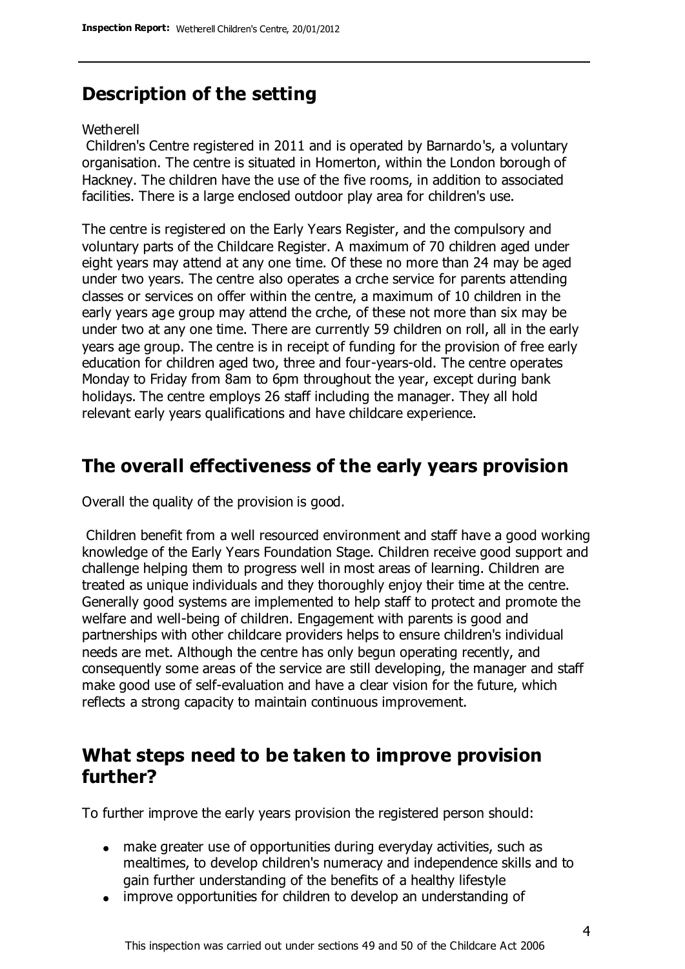# **Description of the setting**

#### Wetherell

Children's Centre registered in 2011 and is operated by Barnardo's, a voluntary organisation. The centre is situated in Homerton, within the London borough of Hackney. The children have the use of the five rooms, in addition to associated facilities. There is a large enclosed outdoor play area for children's use.

The centre is registered on the Early Years Register, and the compulsory and voluntary parts of the Childcare Register. A maximum of 70 children aged under eight years may attend at any one time. Of these no more than 24 may be aged under two years. The centre also operates a crche service for parents attending classes or services on offer within the centre, a maximum of 10 children in the early years age group may attend the crche, of these not more than six may be under two at any one time. There are currently 59 children on roll, all in the early years age group. The centre is in receipt of funding for the provision of free early education for children aged two, three and four-years-old. The centre operates Monday to Friday from 8am to 6pm throughout the year, except during bank holidays. The centre employs 26 staff including the manager. They all hold relevant early years qualifications and have childcare experience.

# **The overall effectiveness of the early years provision**

Overall the quality of the provision is good.

Children benefit from a well resourced environment and staff have a good working knowledge of the Early Years Foundation Stage. Children receive good support and challenge helping them to progress well in most areas of learning. Children are treated as unique individuals and they thoroughly enjoy their time at the centre. Generally good systems are implemented to help staff to protect and promote the welfare and well-being of children. Engagement with parents is good and partnerships with other childcare providers helps to ensure children's individual needs are met. Although the centre has only begun operating recently, and consequently some areas of the service are still developing, the manager and staff make good use of self-evaluation and have a clear vision for the future, which reflects a strong capacity to maintain continuous improvement.

### **What steps need to be taken to improve provision further?**

To further improve the early years provision the registered person should:

- make greater use of opportunities during everyday activities, such as mealtimes, to develop children's numeracy and independence skills and to gain further understanding of the benefits of a healthy lifestyle
- improve opportunities for children to develop an understanding of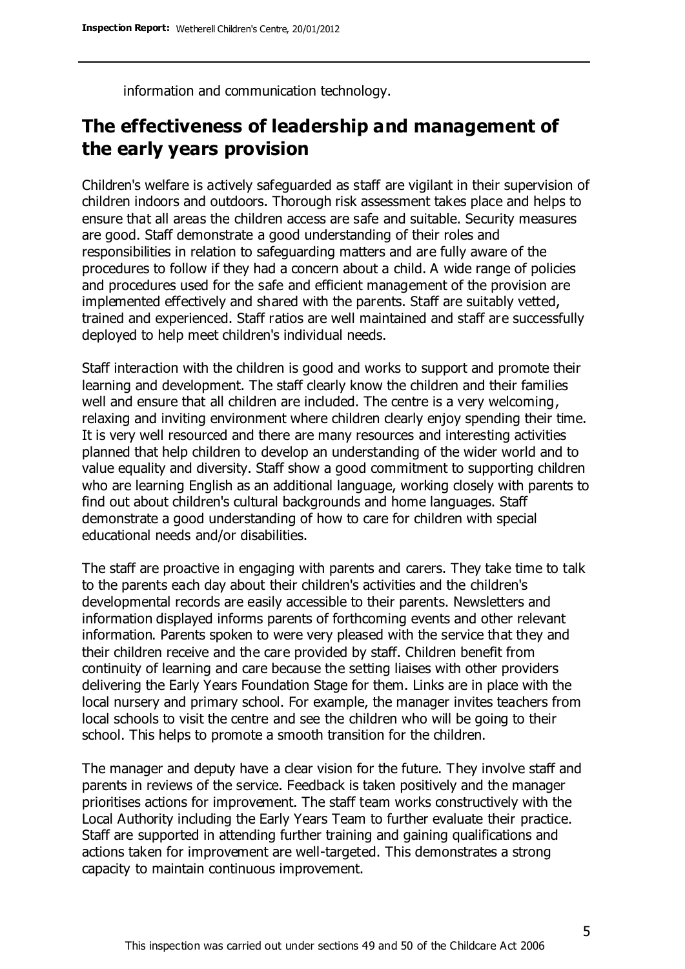information and communication technology.

## **The effectiveness of leadership and management of the early years provision**

Children's welfare is actively safeguarded as staff are vigilant in their supervision of children indoors and outdoors. Thorough risk assessment takes place and helps to ensure that all areas the children access are safe and suitable. Security measures are good. Staff demonstrate a good understanding of their roles and responsibilities in relation to safeguarding matters and are fully aware of the procedures to follow if they had a concern about a child. A wide range of policies and procedures used for the safe and efficient management of the provision are implemented effectively and shared with the parents. Staff are suitably vetted, trained and experienced. Staff ratios are well maintained and staff are successfully deployed to help meet children's individual needs.

Staff interaction with the children is good and works to support and promote their learning and development. The staff clearly know the children and their families well and ensure that all children are included. The centre is a very welcoming, relaxing and inviting environment where children clearly enjoy spending their time. It is very well resourced and there are many resources and interesting activities planned that help children to develop an understanding of the wider world and to value equality and diversity. Staff show a good commitment to supporting children who are learning English as an additional language, working closely with parents to find out about children's cultural backgrounds and home languages. Staff demonstrate a good understanding of how to care for children with special educational needs and/or disabilities.

The staff are proactive in engaging with parents and carers. They take time to talk to the parents each day about their children's activities and the children's developmental records are easily accessible to their parents. Newsletters and information displayed informs parents of forthcoming events and other relevant information. Parents spoken to were very pleased with the service that they and their children receive and the care provided by staff. Children benefit from continuity of learning and care because the setting liaises with other providers delivering the Early Years Foundation Stage for them. Links are in place with the local nursery and primary school. For example, the manager invites teachers from local schools to visit the centre and see the children who will be going to their school. This helps to promote a smooth transition for the children.

The manager and deputy have a clear vision for the future. They involve staff and parents in reviews of the service. Feedback is taken positively and the manager prioritises actions for improvement. The staff team works constructively with the Local Authority including the Early Years Team to further evaluate their practice. Staff are supported in attending further training and gaining qualifications and actions taken for improvement are well-targeted. This demonstrates a strong capacity to maintain continuous improvement.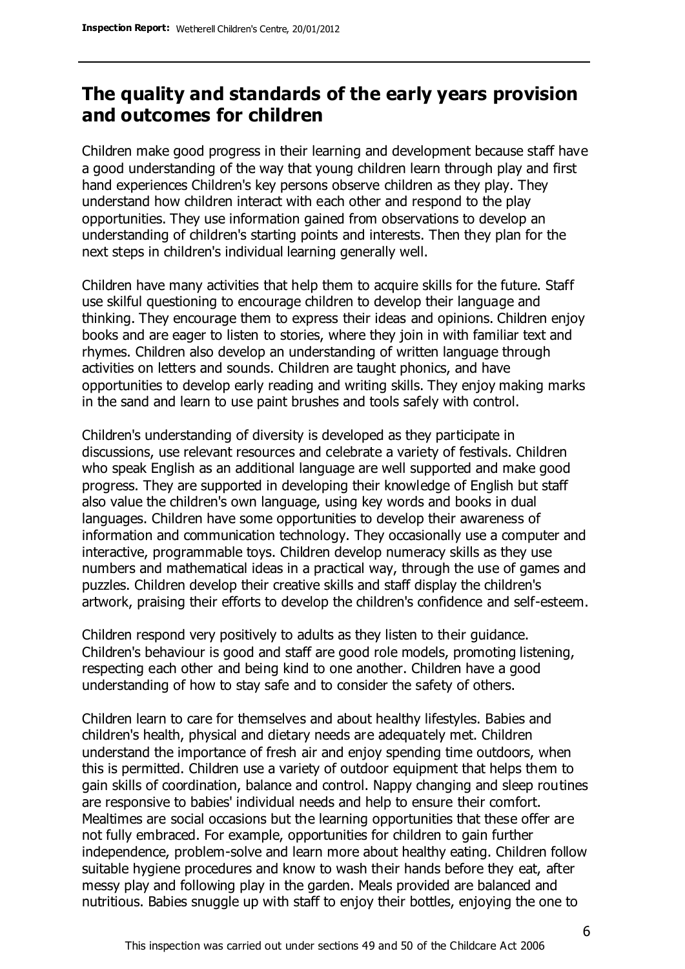## **The quality and standards of the early years provision and outcomes for children**

Children make good progress in their learning and development because staff have a good understanding of the way that young children learn through play and first hand experiences Children's key persons observe children as they play. They understand how children interact with each other and respond to the play opportunities. They use information gained from observations to develop an understanding of children's starting points and interests. Then they plan for the next steps in children's individual learning generally well.

Children have many activities that help them to acquire skills for the future. Staff use skilful questioning to encourage children to develop their language and thinking. They encourage them to express their ideas and opinions. Children enjoy books and are eager to listen to stories, where they join in with familiar text and rhymes. Children also develop an understanding of written language through activities on letters and sounds. Children are taught phonics, and have opportunities to develop early reading and writing skills. They enjoy making marks in the sand and learn to use paint brushes and tools safely with control.

Children's understanding of diversity is developed as they participate in discussions, use relevant resources and celebrate a variety of festivals. Children who speak English as an additional language are well supported and make good progress. They are supported in developing their knowledge of English but staff also value the children's own language, using key words and books in dual languages. Children have some opportunities to develop their awareness of information and communication technology. They occasionally use a computer and interactive, programmable toys. Children develop numeracy skills as they use numbers and mathematical ideas in a practical way, through the use of games and puzzles. Children develop their creative skills and staff display the children's artwork, praising their efforts to develop the children's confidence and self-esteem.

Children respond very positively to adults as they listen to their guidance. Children's behaviour is good and staff are good role models, promoting listening, respecting each other and being kind to one another. Children have a good understanding of how to stay safe and to consider the safety of others.

Children learn to care for themselves and about healthy lifestyles. Babies and children's health, physical and dietary needs are adequately met. Children understand the importance of fresh air and enjoy spending time outdoors, when this is permitted. Children use a variety of outdoor equipment that helps them to gain skills of coordination, balance and control. Nappy changing and sleep routines are responsive to babies' individual needs and help to ensure their comfort. Mealtimes are social occasions but the learning opportunities that these offer are not fully embraced. For example, opportunities for children to gain further independence, problem-solve and learn more about healthy eating. Children follow suitable hygiene procedures and know to wash their hands before they eat, after messy play and following play in the garden. Meals provided are balanced and nutritious. Babies snuggle up with staff to enjoy their bottles, enjoying the one to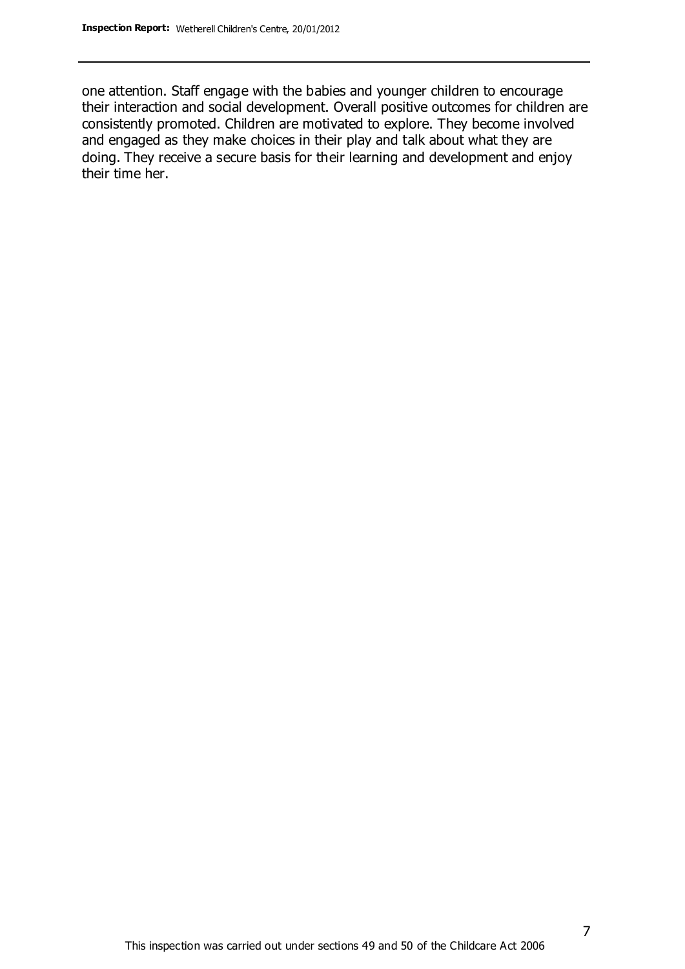one attention. Staff engage with the babies and younger children to encourage their interaction and social development. Overall positive outcomes for children are consistently promoted. Children are motivated to explore. They become involved and engaged as they make choices in their play and talk about what they are doing. They receive a secure basis for their learning and development and enjoy their time her.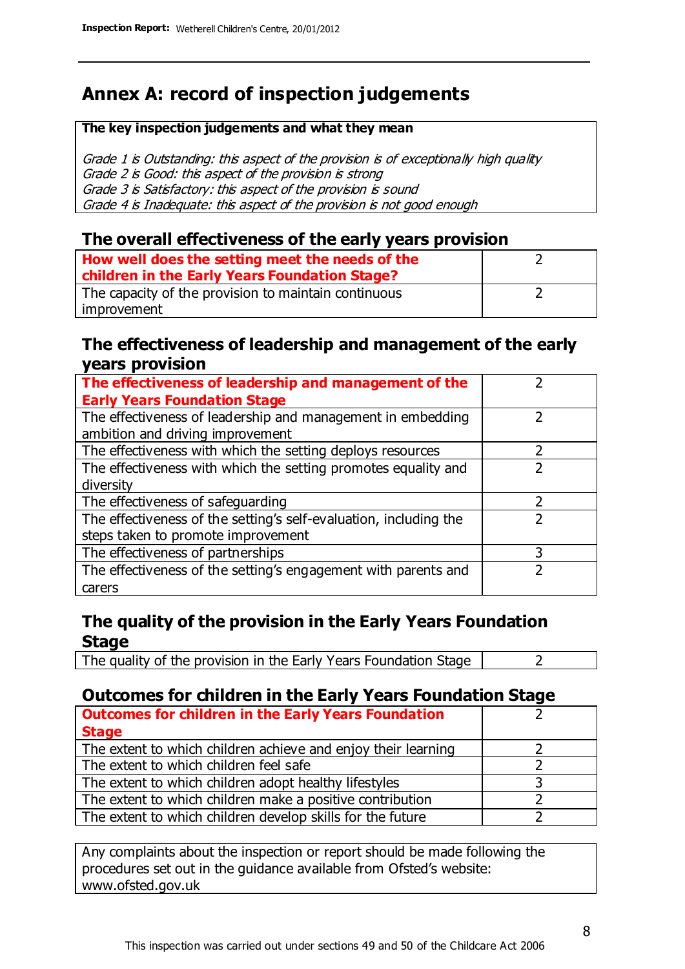# **Annex A: record of inspection judgements**

#### **The key inspection judgements and what they mean**

Grade 1 is Outstanding: this aspect of the provision is of exceptionally high quality Grade 2 is Good: this aspect of the provision is strong Grade 3 is Satisfactory: this aspect of the provision is sound Grade 4 is Inadequate: this aspect of the provision is not good enough

### **The overall effectiveness of the early years provision**

| How well does the setting meet the needs of the      |  |
|------------------------------------------------------|--|
| children in the Early Years Foundation Stage?        |  |
| The capacity of the provision to maintain continuous |  |
| improvement                                          |  |

#### **The effectiveness of leadership and management of the early years provision**

| The effectiveness of leadership and management of the             |   |
|-------------------------------------------------------------------|---|
| <b>Early Years Foundation Stage</b>                               |   |
| The effectiveness of leadership and management in embedding       |   |
| ambition and driving improvement                                  |   |
| The effectiveness with which the setting deploys resources        |   |
| The effectiveness with which the setting promotes equality and    |   |
| diversity                                                         |   |
| The effectiveness of safeguarding                                 |   |
| The effectiveness of the setting's self-evaluation, including the |   |
| steps taken to promote improvement                                |   |
| The effectiveness of partnerships                                 | 3 |
| The effectiveness of the setting's engagement with parents and    |   |
| carers                                                            |   |

### **The quality of the provision in the Early Years Foundation Stage**

The quality of the provision in the Early Years Foundation Stage  $\vert$  2

### **Outcomes for children in the Early Years Foundation Stage**

| <b>Outcomes for children in the Early Years Foundation</b>    |  |
|---------------------------------------------------------------|--|
| <b>Stage</b>                                                  |  |
| The extent to which children achieve and enjoy their learning |  |
| The extent to which children feel safe                        |  |
| The extent to which children adopt healthy lifestyles         |  |
| The extent to which children make a positive contribution     |  |
| The extent to which children develop skills for the future    |  |

Any complaints about the inspection or report should be made following the procedures set out in the guidance available from Ofsted's website: www.ofsted.gov.uk